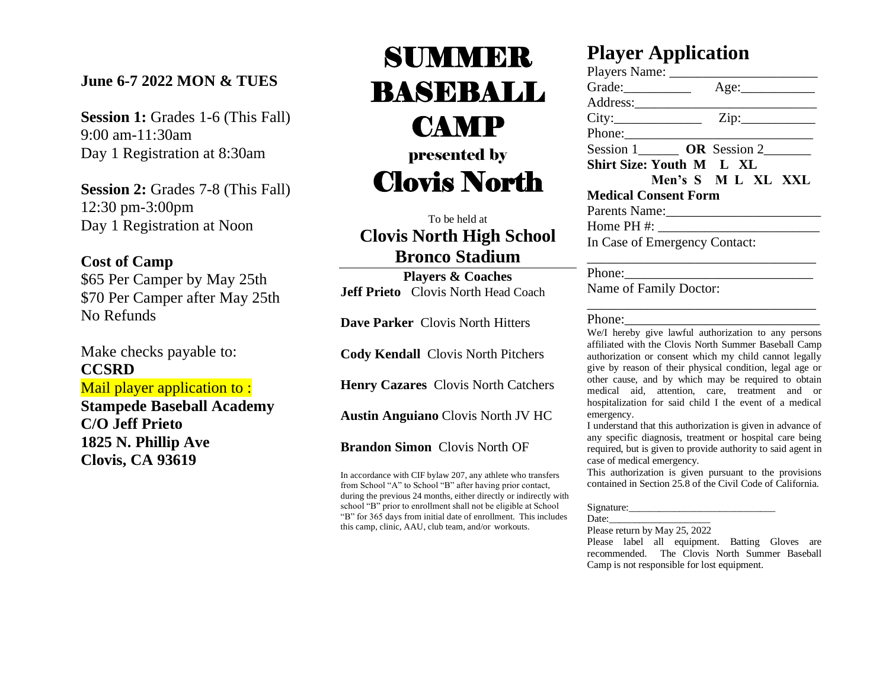### **June 6-7 2022 MON & TUES**

**Session 1:** Grades 1-6 (This Fall) 9:00 am-11:30am Day 1 Registration at 8:30am

**Session 2: Grades 7-8 (This Fall)** 12:30 pm-3:00pm Day 1 Registration at Noon

### **Cost of Camp**

\$65 Per Camper by May 25th \$70 Per Camper after May 25th No Refunds

Make checks payable to: **CCSRD** Mail player application to: **Stampede Baseball Academy C/O Jeff Prieto 1825 N. Phillip Ave Clovis, CA 93619**

# SUMMER BASEBALL CAMP presented by Clovis North

To be held at **Clovis North High School Bronco Stadium**

**Players & Coaches Jeff Prieto** Clovis North Head Coach

**Dave Parker** Clovis North Hitters

**Cody Kendall** Clovis North Pitchers

**Henry Cazares** Clovis North Catchers

**Austin Anguiano** Clovis North JV HC

**Brandon Simon** Clovis North OF

In accordance with CIF bylaw 207, any athlete who transfers from School "A" to School "B" after having prior contact, during the previous 24 months, either directly or indirectly with school "B" prior to enrollment shall not be eligible at School "B" for 365 days from initial date of enrollment. This includes this camp, clinic, AAU, club team, and/or workouts.

## **Player Application**

| Players Name:                                                                                                                                                                                                                                                                                                                                                                           |                                        |                        |  |
|-----------------------------------------------------------------------------------------------------------------------------------------------------------------------------------------------------------------------------------------------------------------------------------------------------------------------------------------------------------------------------------------|----------------------------------------|------------------------|--|
|                                                                                                                                                                                                                                                                                                                                                                                         |                                        |                        |  |
|                                                                                                                                                                                                                                                                                                                                                                                         |                                        |                        |  |
| City:                                                                                                                                                                                                                                                                                                                                                                                   |                                        |                        |  |
|                                                                                                                                                                                                                                                                                                                                                                                         |                                        |                        |  |
|                                                                                                                                                                                                                                                                                                                                                                                         | Session 1________ OR Session 2________ |                        |  |
| Shirt Size: Youth M L XL                                                                                                                                                                                                                                                                                                                                                                |                                        |                        |  |
|                                                                                                                                                                                                                                                                                                                                                                                         | Men's S M L XL XXL                     |                        |  |
| <b>Medical Consent Form</b><br>Parents Name:<br>Home PH #: $\frac{1}{2}$ = $\frac{1}{2}$ = $\frac{1}{2}$ = $\frac{1}{2}$ = $\frac{1}{2}$ = $\frac{1}{2}$ = $\frac{1}{2}$ = $\frac{1}{2}$ = $\frac{1}{2}$ = $\frac{1}{2}$ = $\frac{1}{2}$ = $\frac{1}{2}$ = $\frac{1}{2}$ = $\frac{1}{2}$ = $\frac{1}{2}$ = $\frac{1}{2}$ = $\frac{1}{2}$ = $\frac{1}{$<br>In Case of Emergency Contact: |                                        |                        |  |
|                                                                                                                                                                                                                                                                                                                                                                                         |                                        |                        |  |
|                                                                                                                                                                                                                                                                                                                                                                                         |                                        | Phone:                 |  |
|                                                                                                                                                                                                                                                                                                                                                                                         |                                        | Name of Family Doctor: |  |

#### Phone:

We/I hereby give lawful authorization to any persons affiliated with the Clovis North Summer Baseball Camp authorization or consent which my child cannot legally give by reason of their physical condition, legal age or other cause, and by which may be required to obtain medical aid, attention, care, treatment and or hospitalization for said child I the event of a medical emergency.

\_\_\_\_\_\_\_\_\_\_\_\_\_\_\_\_\_\_\_\_\_\_\_\_\_\_\_\_\_\_\_\_\_\_

I understand that this authorization is given in advance of any specific diagnosis, treatment or hospital care being required, but is given to provide authority to said agent in case of medical emergency.

This authorization is given pursuant to the provisions contained in Section 25.8 of the Civil Code of California.

#### Signature:

Date:

Please return by May 25, 2022

Please label all equipment. Batting Gloves are recommended. The Clovis North Summer Baseball Camp is not responsible for lost equipment.